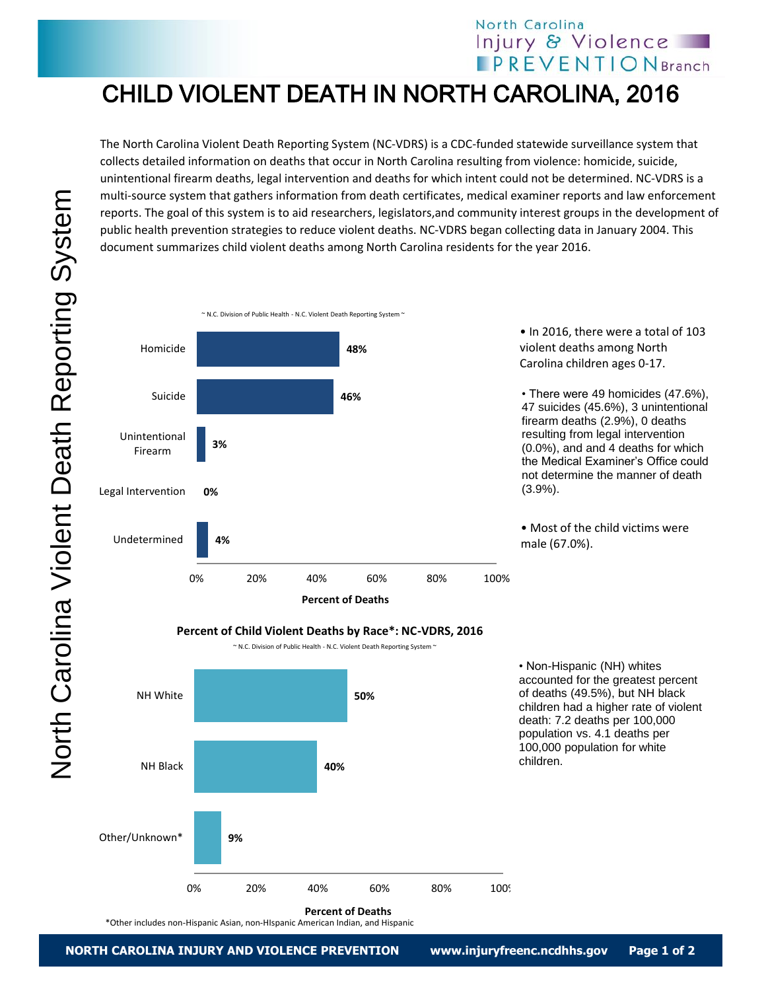## North Carolina Injury & Violence **IPREVENTIONBranch**

• Non-Hispanic (NH) whites accounted for the greatest percent of deaths (49.5%), but NH black children had a higher rate of violent death: 7.2 deaths per 100,000 population vs. 4.1 deaths per 100,000 population for white

children.

## CHILD VIOLENT DEATH IN NORTH CAROLINA, 2016

The North Carolina Violent Death Reporting System (NC-VDRS) is a CDC-funded statewide surveillance system that collects detailed information on deaths that occur in North Carolina resulting from violence: homicide, suicide, unintentional firearm deaths, legal intervention and deaths for which intent could not be determined. NC-VDRS is a multi-source system that gathers information from death certificates, medical examiner reports and law enforcement reports. The goal of this system is to aid researchers, legislators,and community interest groups in the development of public health prevention strategies to reduce violent deaths. NC-VDRS began collecting data in January 2004. This document summarizes child violent deaths among North Carolina residents for the year 2016.



**Percent of Child Violent Deaths by Race\*: NC-VDRS, 2016**

 $\sim$  N.C. Division of Public Health - N.C. Violent Death Reporting System  $\sim$ 



\*Other includes non-Hispanic Asian, non-HIspanic American Indian, and Hispanic